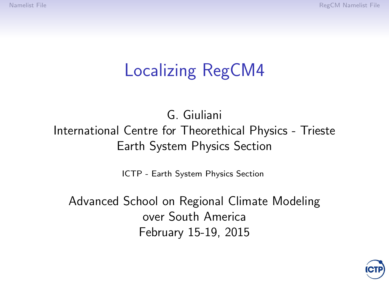# Localizing RegCM4

#### G. Giuliani International Centre for Theorethical Physics - Trieste Earth System Physics Section

[ICTP - Earth System Physics Section](http://www.ictp.it)

Advanced School on Regional Climate Modeling over South America February 15-19, 2015

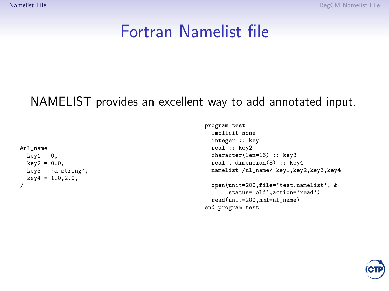<span id="page-1-0"></span>[Namelist File](#page-1-0) [RegCM Namelist File](#page-2-0)

#### Fortran Namelist file

#### NAMELIST provides an excellent way to add annotated input.

```
&nl_name
  key1 = 0,
 key2 = 0.0,
  key3 = 'a string',key4 = 1.0, 2.0,/
```

```
program test
 implicit none
 integer :: key1
 real :: key2
 character(len=16) :: key3
 real , dimension(8) :: key4
 namelist /nl_name/ key1,key2,key3,key4
 open(unit=200,file='test.namelist', &
      status='old',action='read')
 read(unit=200,nml=nl_name)
end program test
```
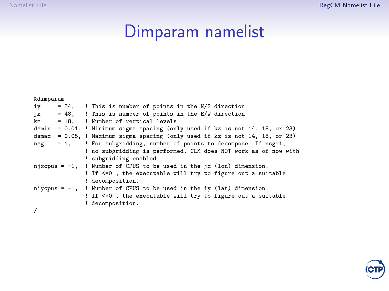# Dimparam namelist

<span id="page-2-0"></span>

| <i>&amp;</i> dimparam |                                                                                 |
|-----------------------|---------------------------------------------------------------------------------|
| iy                    | = 34, ! This is number of points in the N/S direction                           |
| ix                    | = 48, ! This is number of points in the E/W direction                           |
| kz                    | = 18, ! Number of vertical levels                                               |
|                       | dsmin = $0.01$ , ! Minimum sigma spacing (only used if kz is not 14, 18, or 23) |
|                       | dsmax = $0.05$ , ! Maximum sigma spacing (only used if kz is not 14, 18, or 23) |
| $= 1.$<br>nsg         | ! For subgridding, number of points to decompose. If nsg=1,                     |
|                       | ! no subgridding is performed. CLM does NOT work as of now with                 |
|                       | ! subgridding enabled.                                                          |
|                       | njxcpus = $-1$ , ! Number of CPUS to be used in the jx (lon) dimension.         |
|                       | ! If <=0, the executable will try to figure out a suitable                      |
|                       | ! decomposition.                                                                |
|                       | niycpus = $-1$ , ! Number of CPUS to be used in the iy (lat) dimension.         |
|                       | ! If <=0, the executable will try to figure out a suitable                      |
|                       | ! decomposition.                                                                |
| $\epsilon$            |                                                                                 |



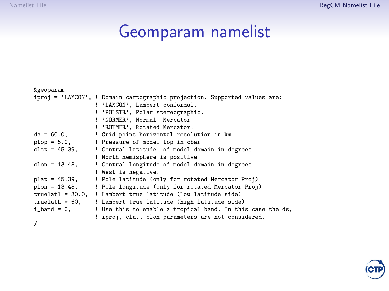# Geomparam namelist

| <i>&amp;geoparam</i> |                                                                           |
|----------------------|---------------------------------------------------------------------------|
|                      | iproj = 'LAMCON', ! Domain cartographic projection. Supported values are: |
|                      | ! 'LAMCON', Lambert conformal.                                            |
|                      | ! 'POLSTR', Polar stereographic.                                          |
|                      | ! 'NORMER', Normal Mercator.                                              |
|                      | ! 'ROTMER', Rotated Mercator.                                             |
| $ds = 60.0$ ,        | ! Grid point horizontal resolution in km                                  |
|                      | ptop = 5.0,<br>! Pressure of model top in cbar                            |
|                      | $clat = 45.39$ , ! Central latitude of model domain in degrees            |
|                      | ! North hemisphere is positive                                            |
| $clon = 13.48$ ,     | ! Central longitude of model domain in degrees                            |
|                      | ! West is negative.                                                       |
| $plat = 45.39,$      | ! Pole latitude (only for rotated Mercator Proj)                          |
|                      | plon = 13.48,    ! Pole longitude (only for rotated Mercator Proj)        |
|                      | truelatl = 30.0, ! Lambert true latitude (low latitude side)              |
|                      | truelath = 60, ! Lambert true latitude (high latitude side)               |
|                      | i_band = 0,<br>! Use this to enable a tropical band. In this case the ds, |
|                      | ! iproj, clat, clon parameters are not considered.                        |
|                      |                                                                           |

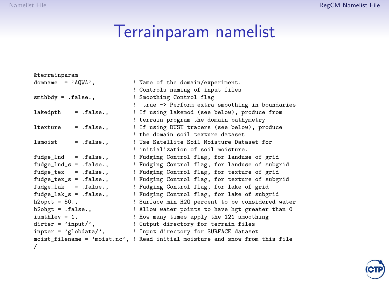# Terrainparam namelist

| <i>&amp;terrainparam</i>                         |                                                                              |
|--------------------------------------------------|------------------------------------------------------------------------------|
| $\text{domname} = 'AQWA',$                       | ! Name of the domain/experiment.                                             |
|                                                  | ! Controls naming of input files                                             |
| $s$ mthbdy = $.f$ alse.,                         | ! Smoothing Control flag                                                     |
|                                                  | ! true -> Perform extra smoothing in boundaries                              |
| lakedpth<br>$=$ .false.,                         | ! If using lakemod (see below), produce from                                 |
|                                                  | ! terrain program the domain bathymetry                                      |
| ltexture<br>$=$ .false.,                         | ! If using DUST tracers (see below), produce                                 |
|                                                  | I the domain soil texture dataset                                            |
| lsmoist<br>$=$ .false                            | ! Use Satellite Soil Moisture Dataset for                                    |
|                                                  | ! initialization of soil moisture.                                           |
| $fudge\_Ind = false.$                            | ! Fudging Control flag, for landuse of grid                                  |
| $fudge\_Ind_s = .false.,$                        | ! Fudging Control flag, for landuse of subgrid                               |
| $fudge\_tex = false.$                            | ! Fudging Control flag, for texture of grid                                  |
| $fudge\_tex_s = false.,$                         | ! Fudging Control flag, for texture of subgrid                               |
| $fudge\_lak = .false.,$                          | ! Fudging Control flag, for lake of grid                                     |
| $fudge\_lak_s = .false.,$                        | ! Fudging Control flag, for lake of subgrid                                  |
| $h2opt = 50.$ ,                                  | ! Surface min H2O percent to be considered water                             |
| $h2ohgt =$ .false.,                              | ! Allow water points to have hgt greater than 0                              |
| $ismthlev = 1$ ,                                 | ! How many times apply the 121 smoothing                                     |
| $\text{ditter}$ = 'input/',                      | ! Output directory for terrain files                                         |
| $\text{inputer} = \text{'global} \cdot \text{'}$ | ! Input directory for SURFACE dataset                                        |
|                                                  | moist_filename = 'moist.nc', ! Read initial moisture and snow from this file |
| $\prime$                                         |                                                                              |

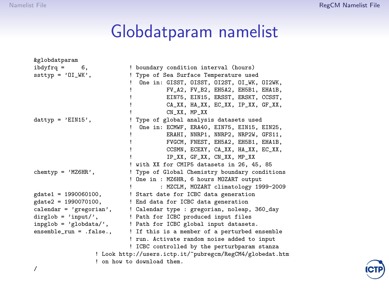# Globdatparam namelist

| &globdatparam                      |                                                           |
|------------------------------------|-----------------------------------------------------------|
| $ibdyfrq =$<br>6,                  | ! boundary condition interval (hours)                     |
| $ssttyp = '0I_WK',$                | ! Type of Sea Surface Temperature used                    |
|                                    | One in: GISST, OISST, OI2ST, OI_WK, OI2WK,                |
|                                    | FV_A2, FV_B2, EH5A2, EH5B1, EHA1B,                        |
|                                    | EIN75, EIN15, ERSST, ERSKT, CCSST,                        |
|                                    | CA_XX, HA_XX, EC_XX, IP_XX, GF_XX,                        |
|                                    | CN XX. MP XX                                              |
| $dattyp = 'EIN15',$                | ! Type of global analysis datasets used                   |
|                                    | One in: ECMWF, ERA40, EIN75, EIN15, EIN25,                |
|                                    | ERAHI, NNRP1, NNRP2, NRP2W, GFS11,                        |
|                                    | FVGCM, FNEST, EH5A2, EH5B1, EHA1B,                        |
|                                    | CCSMN, ECEXY, CA_XX, HA_XX, EC_XX,                        |
|                                    | IP_XX, GF_XX, CN_XX, MP_XX                                |
|                                    | ! with XX for CMIP5 datasets in 26, 45, 85                |
| chemtyp = $'MZ6HR'$ ,              | ! Type of Global Chemistry boundary conditions            |
|                                    | ! One in : MZ6HR, 6 hours MOZART output                   |
|                                    | : MZCLM, MOZART climatology 1999-2009                     |
| $gdate1 = 1990060100,$             | ! Start date for ICBC data generation                     |
| $gdate2 = 1990070100,$             | ! End data for ICBC data generation                       |
| $\text{calendar} = \text{'green'}$ | ! Calendar type : gregorian, noleap, 360_day              |
| $dirglob = 'input',$               | ! Path for ICBC produced input files                      |
| $inplob = 'globdata/',$            | ! Path for ICBC global input datasets.                    |
| $ensemble_run = false.$ ,          | ! If this is a member of a perturbed ensemble             |
|                                    | ! run. Activate random noise added to input               |
|                                    | ! ICBC controlled by the perturbparam stanza              |
|                                    | ! Look http://users.ictp.it/"pubregcm/RegCM4/globedat.htm |
|                                    | ! on how to download them.                                |
|                                    |                                                           |

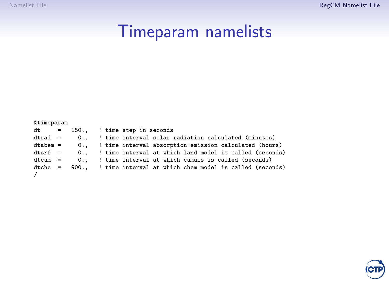# Timeparam namelists

| &timeparam |  |
|------------|--|
|------------|--|

|            |  |  | $dt = 150.,$ ! time step in seconds |                                                                       |
|------------|--|--|-------------------------------------|-----------------------------------------------------------------------|
| $dtrad =$  |  |  |                                     | 0., ! time interval solar radiation calculated (minutes)              |
| dtabem =   |  |  |                                     | 0., ! time interval absorption-emission calculated (hours)            |
| dtsrf =    |  |  |                                     | 0., ! time interval at which land model is called (seconds)           |
| $dt cum =$ |  |  |                                     | 0., ! time interval at which cumuls is called (seconds)               |
|            |  |  |                                     | dtche = 900., ! time interval at which chem model is called (seconds) |
| $\prime$   |  |  |                                     |                                                                       |

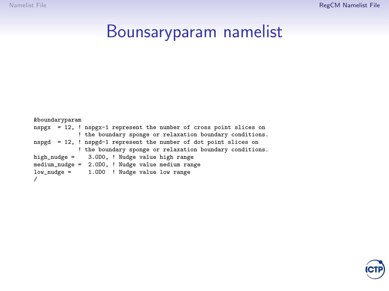#### Bounsaryparam namelist

&boundaryparam nspgx = 12, ! nspgx-1 represent the number of cross point slices on ! the boundary sponge or relaxation boundary conditions. nspgd = 12, ! nspgd-1 represent the number of dot point slices on ! the boundary sponge or relaxation boundary conditions. high\_nudge = 3.0D0, ! Nudge value high range medium\_nudge = 2.0D0, ! Nudge value medium range low\_nudge = 1.0D0 ! Nudge value low range /

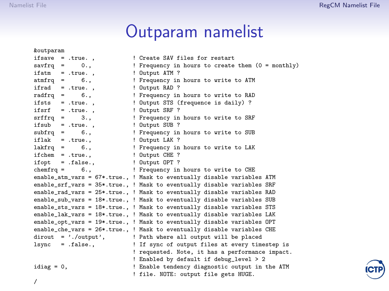&outparam

/

# Outparam namelist

| woutparam                                      |                                                                         |
|------------------------------------------------|-------------------------------------------------------------------------|
| ifsave = .true.,                               | ! Create SAV files for restart                                          |
| $savfrq = 0.,$                                 | ! Frequency in hours to create them (0 = monthly)                       |
| ifatm = .true.,                                | ! Output ATM ?                                                          |
| $atmfrq =$<br>6.                               | ! Frequency in hours to write to ATM                                    |
| ifrad<br>$= .true.$                            | ! Output RAD ?                                                          |
| $radfrq = 6.,$                                 | ! Frequency in hours to write to RAD                                    |
| ifsts = .true.,                                | ! Output STS (frequence is daily) ?                                     |
| $ifsrf = true.$ .                              | ! Output SRF ?                                                          |
| $\text{srffrq}$ =<br>3.1                       | ! Frequency in hours to write to SRF                                    |
| if $sub = .true.$ ,                            | ! Output SUB ?                                                          |
| $\text{subfrq} = 6.,$                          | ! Frequency in hours to write to SUB                                    |
| $iflak = .true.,$                              | ! Output LAK ?                                                          |
| $lakfrq =$<br>6.1                              | ! Frequency in hours to write to LAK                                    |
| $ifchem = true.$                               | ! Output CHE ?                                                          |
| ifopt $=$ .false.,                             | ! Output OPT ?                                                          |
| chemfrq = $6.,$                                | ! Frequency in hours to write to CHE                                    |
|                                                | enable_atm_vars = 67*.true., ! Mask to eventually disable variables ATM |
|                                                | enable_srf_vars = 35*.true., ! Mask to eventually disable variables SRF |
|                                                | enable_rad_vars = 25*.true., ! Mask to eventually disable variables RAD |
|                                                | enable_sub_vars = 18*.true., ! Mask to eventually disable variables SUB |
|                                                | enable_sts_vars = 18*.true., ! Mask to eventually disable variables STS |
|                                                | enable_lak_vars = 18*.true., ! Mask to eventually disable variables LAK |
|                                                | enable_opt_vars = 19*.true., ! Mask to eventually disable variables OPT |
|                                                | enable_che_vars = 26*.true., ! Mask to eventually disable variables CHE |
| $\text{divout} = \text{'}. / \text{output'}$ , | ! Path where all output will be placed                                  |
| $lsync = false.$                               | ! If sync of output files at every timestep is                          |
|                                                | ! requested. Note, it has a performance impact.                         |
|                                                | ! Enabled by default if debug_level > 2                                 |
| idiag = $0$ ,                                  | ! Enable tendency diagnostic output in the ATM                          |
|                                                | ! file. NOTE: output file gets HUGE.                                    |

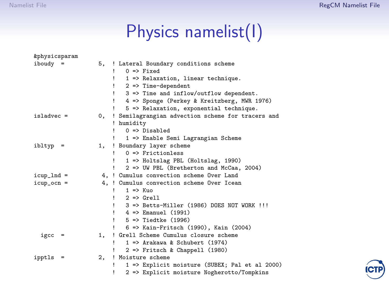# Physics namelist(I)

| <i>&amp;physicsparam</i> |    |   |                                                   |
|--------------------------|----|---|---------------------------------------------------|
| iboudy<br>$=$            | 5, |   | ! Lateral Boundary conditions scheme              |
|                          |    |   | $0 \Rightarrow$ Fixed                             |
|                          |    |   | 1 => Relaxation, linear technique.                |
|                          |    |   | $2$ => Time-dependent                             |
|                          |    |   | $3$ => Time and inflow/outflow dependent.         |
|                          |    |   | 4 => Sponge (Perkey & Kreitzberg, MWR 1976)       |
|                          |    |   | 5 => Relaxation, exponential technique.           |
| $is1$ advec =            | 0. |   | ! Semilagrangian advection scheme for tracers and |
|                          |    |   | ! humidity                                        |
|                          |    |   | $0 \Rightarrow$ Disabled                          |
|                          |    |   | 1 => Enable Semi Lagrangian Scheme                |
| ibltyp<br>$=$            | 1. |   | ! Boundary layer scheme                           |
|                          |    |   | $0 \Rightarrow$ Frictionless                      |
|                          |    |   | 1 => Holtslag PBL (Holtslag, 1990)                |
|                          |    |   | 2 => UW PBL (Bretherton and McCaa, 2004)          |
| $icup\_Ind =$            |    |   | 4. ! Cumulus convection scheme Over Land          |
| $icup\_ocn =$            |    |   | 4. ! Cumulus convection scheme Over Icean         |
|                          |    |   | $1 \Rightarrow$ Kuo                               |
|                          |    |   | $2 \Rightarrow$ Grell                             |
|                          |    |   | 3 => Betts-Miller (1986) DOES NOT WORK !!!        |
|                          |    | u | 4 => Emanuel (1991)                               |
|                          |    |   | $5 \Rightarrow$ Tiedtke (1996)                    |
|                          |    |   | 6 => Kain-Fritsch (1990), Kain (2004)             |
| igcc<br>$\equiv$         | 1. |   | ! Grell Scheme Cumulus closure scheme             |
|                          |    | u | $1 \Rightarrow$ Arakawa & Schubert (1974)         |
|                          |    |   | $2 \Rightarrow$ Fritsch & Chappell (1980)         |
| ipptls<br>=              | 2, |   | ! Moisture scheme                                 |
|                          |    |   | 1 => Explicit moisture (SUBEX; Pal et al 2000)    |
|                          |    |   | 2 => Explicit moisture Nogherotto/Tompkins        |

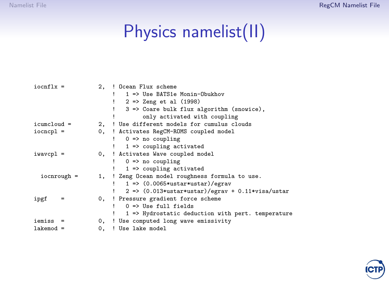# Physics namelist(II)

| $iocnflx =$   |     |    | 2. ! Ocean Flux scheme                               |
|---------------|-----|----|------------------------------------------------------|
|               |     |    | 1 => Use BATS1e Monin-Obukhov                        |
|               |     |    | 2 => Zeng et al (1998)                               |
|               |     |    | 3 => Coare bulk flux algorithm (snowice),            |
|               |     |    | only activated with coupling                         |
| $icumcloud =$ |     |    | 2. ! Use different models for cumulus clouds         |
| $iocncp1 =$   |     |    | 0, ! Activates RegCM-ROMS coupled model              |
|               |     |    | $0 \Rightarrow no coupling$                          |
|               |     |    | $1 \Rightarrow$ coupling activated                   |
| $i$ wavcpl =  |     |    | 0, ! Activates Wave coupled model                    |
|               |     |    | $0 \Rightarrow no coupling$                          |
|               |     |    | $1 \Rightarrow$ coupling activated                   |
| $iocnrough =$ |     |    | 1, ! Zeng Ocean model roughness formula to use.      |
|               |     |    | $1$ => $(0.0065*ustar*ustar)/egrav$                  |
|               |     |    | $2$ => $(0.013*ustar*ustar)/egrav + 0.11*visa/ustar$ |
| ipgf          | $=$ |    | 0, ! Pressure gradient force scheme                  |
|               |     |    | $0 \Rightarrow$ Use full fields                      |
|               |     |    | 1 => Hydrostatic deduction with pert. temperature    |
| iemiss        |     |    | 0, ! Use computed long wave emissivity               |
| $lakemod =$   |     | 0. | ! Use lake model                                     |

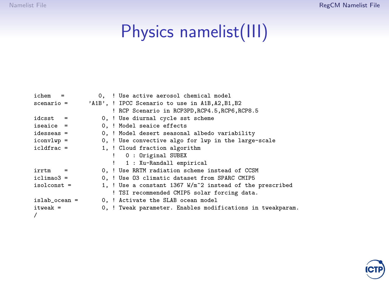# Physics namelist(III)

| ichem<br>$\equiv$ |  | 0. ! Use active aerosol chemical model                     |
|-------------------|--|------------------------------------------------------------|
| $scenario =$      |  | 'A1B', ! IPCC Scenario to use in A1B, A2, B1, B2           |
|                   |  | ! RCP Scenario in RCP3PD, RCP4.5, RCP6, RCP8.5             |
| $idcost =$        |  | 0, ! Use diurnal cycle sst scheme                          |
| $iseaice =$       |  | 0. ! Model seaice effects                                  |
| $idesseas =$      |  | 0, ! Model desert seasonal albedo variability              |
| $icony1wp =$      |  | 0, ! Use convective algo for lwp in the large-scale        |
| $icldfrac =$      |  | 1, ! Cloud fraction algorithm                              |
|                   |  | ! 0 : Original SUBEX                                       |
|                   |  | ! 1 : Xu-Randall empirical                                 |
| irrtm<br>$\equiv$ |  | 0, ! Use RRTM radiation scheme instead of CCSM             |
| $iclima03 =$      |  | 0. ! Use 03 climatic dataset from SPARC CMIP5              |
| $isolconst =$     |  | 1, ! Use a constant 1367 $W/m^2$ instead of the prescribed |
|                   |  | ! TSI recommended CMIP5 solar forcing data.                |
| $islab\_ocean =$  |  | 0. ! Activate the SLAB ocean model                         |
| $itweak =$        |  | 0, ! Tweak parameter. Enables modifications in tweakparam. |
|                   |  |                                                            |

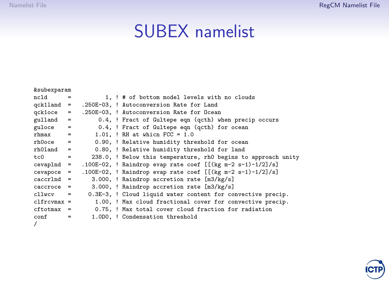### SUBEX namelist

| <i>ksubexparam</i> |                   |  |                                                               |
|--------------------|-------------------|--|---------------------------------------------------------------|
| ncld               | $=$               |  | 1, ! # of bottom model levels with no clouds                  |
| $qck1land =$       |                   |  | .250E-03, ! Autoconversion Rate for Land                      |
| gck1oce            | $\equiv$          |  | .250E-03. ! Autoconversion Rate for Ocean                     |
| $gulland =$        |                   |  | 0.4, ! Fract of Gultepe eqn (qcth) when precip occurs         |
| guloce             | $=$               |  | 0.4, ! Fract of Gultepe eqn (qcth) for ocean                  |
| rhmax              | $=$               |  | $1.01.$ ! RH at whicn $FCC = 1.0$                             |
| rh0oce             | $\qquad \qquad =$ |  | 0.90, ! Relative humidity threshold for ocean                 |
| $rhO1$ and $=$     |                   |  | 0.80, ! Relative humidity threshold for land                  |
| t.c0               | $=$               |  | 238.0, ! Below this temperature, rh0 begins to approach unity |
| cevaplnd           | $=$               |  | .100E-02, ! Raindrop evap rate coef $[[(kg m-2 s-1)-1/2]/s]$  |
| cevapoce           | $=$               |  | .100E-02, ! Raindrop evap rate coef $[$ [(kg m-2 s-1)-1/2]/s] |
| caccrlnd           | $\equiv$          |  | 3.000, ! Raindrop accretion rate [m3/kg/s]                    |
| caccroce           | $=$               |  | 3.000, ! Raindrop accretion rate [m3/kg/s]                    |
| cllwcy             | $=$               |  | 0.3E-3, ! Cloud liquid water content for convective precip.   |
| $clfrcmax =$       |                   |  | 1.00, ! Max cloud fractional cover for convective precip.     |
| $cftotmax =$       |                   |  | 0.75. ! Max total cover cloud fraction for radiation          |
| conf               | $=$               |  | 1.0D0, ! Condensation threshold                               |
|                    |                   |  |                                                               |

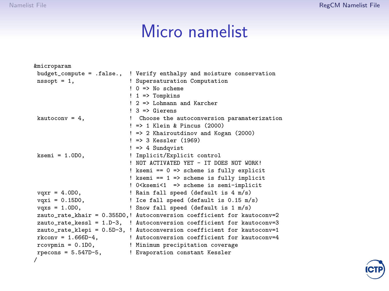## Micro namelist

| <i>kmicroparam</i>           |                                                                         |
|------------------------------|-------------------------------------------------------------------------|
| $budget\_compute = .false.,$ | ! Verify enthalpy and moisture conservation                             |
| $nssopt = 1$ ,               | ! Supersaturation Computation                                           |
|                              | $\log 0$ => No scheme                                                   |
|                              | $! 1$ => Tompkins                                                       |
|                              | ! 2 => Lohmann and Karcher                                              |
|                              | $! 3 =$ Gierens                                                         |
| kautocony = $4$ .            | Choose the autoconversion paramaterization<br>I.                        |
|                              | $!$ => 1 Klein & Pincus (2000)                                          |
|                              | ! => 2 Khairoutdinov and Kogan (2000)                                   |
|                              | $! \Rightarrow 3$ Kessler (1969)                                        |
|                              | $!$ => 4 Sundqvist                                                      |
| $ksemi = 1.0D0,$             | ! Implicit/Explicit control                                             |
|                              | ! NOT ACTIVATED YET - IT DOES NOT WORK!                                 |
|                              | ! ksemi == 0 => scheme is fully explicit                                |
|                              | ! ksemi == 1 => scheme is fully implicit                                |
|                              | ! 0 <ksemi<1 ==""> scheme is semi-implicit</ksemi<1>                    |
| $vqxr = 4.0D0,$              | ! Rain fall speed (default is 4 m/s)                                    |
| $vqxi = 0.15D0$ ,            | ! Ice fall speed (default is 0.15 m/s)                                  |
| $vqxs = 1.0D0$ ,             | ! Snow fall speed (default is 1 m/s)                                    |
|                              | zauto_rate_khair = 0.355D0,! Autoconversion coefficient for kautoconv=2 |
|                              | zauto_rate_kess1 = 1.D-3, ! Autoconversion coefficient for kautoconv=3  |
|                              | zauto_rate_klepi = 0.5D-3, ! Autoconversion coefficient for kautoconv=1 |
| $rkconv = 1.666D-4$ ,        | ! Autoconversion coefficient for kautoconv=4                            |
| $r$ covpmin = $0.1D0$ ,      | ! Minimum precipitation coverage                                        |
| $recons = 5.547D-5$ ,        | ! Evaporation constant Kessler                                          |
| 7                            |                                                                         |

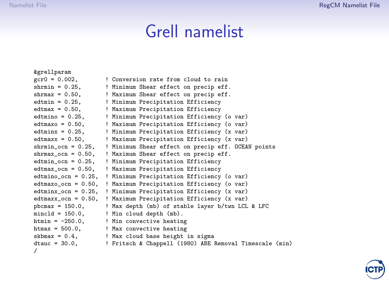# Grell namelist

| <i>&amp;grellparam</i>    |                                                                |
|---------------------------|----------------------------------------------------------------|
| $gcr0 = 0.002$ ,          | ! Conversion rate from cloud to rain                           |
| $shrmin = 0.25$ ,         | ! Minimum Shear effect on precip eff.                          |
|                           | shrmax = 0.50, ! Maximum Shear effect on precip eff.           |
|                           | edtmin = 0.25,   Minimum Precipitation Efficiency              |
| $edtmax = 0.50$ ,         | ! Maximum Precipitation Efficiency                             |
| $edtmino = 0.25$ ,        | ! Minimum Precipitation Efficiency (o var)                     |
| $edtmaxo = 0.50$ .        | ! Maximum Precipitation Efficiency (o var)                     |
| $edtminx = 0.25$ ,        | ! Minimum Precipitation Efficiency (x var)                     |
| $edtmax = 0.50$ ,         | ! Maximum Precipitation Efficiency (x var)                     |
| $shrmin\_ocn = 0.25$ ,    | ! Minimum Shear effect on precip eff. OCEAN points             |
| $shrmax\_ocn = 0.50$ ,    | ! Maximum Shear effect on precip eff.                          |
| $edtmin\_ocn = 0.25$ ,    | ! Minimum Precipitation Efficiency                             |
| $edtmax\_ocn = 0.50$ ,    | ! Maximum Precipitation Efficiency                             |
|                           | edtmino_ocn = 0.25, ! Minimum Precipitation Efficiency (o var) |
| $edtmaxo_{-}ocn = 0.50$ , | ! Maximum Precipitation Efficiency (o var)                     |
| $edtninx_{con} = 0.25$ ,  | ! Minimum Precipitation Efficiency (x var)                     |
| $edthaxx\_{ocn} = 0.50$ , | ! Maximum Precipitation Efficiency (x var)                     |
| $pbcmax = 150.0$ ,        | ! Max depth (mb) of stable layer b/twn LCL & LFC               |
| $minc1d = 150.0$ ,        | ! Min cloud depth (mb).                                        |
|                           | htmin = $-250.0$ , $\qquad$ ! Min convective heating           |
|                           | htmax = 500.0, ! Max convective heating                        |
|                           | skbmax = 0.4, ! Max cloud base height in sigma                 |
| $dtauc = 30.0,$           | ! Fritsch & Chappell (1980) ABE Removal Timescale (min)        |
| 7                         |                                                                |

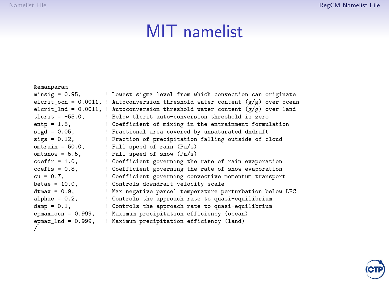#### MIT namelist

```
&emanparam<br>minsig = 0.95,
                            ! Lowest sigma level from which convection can originate
elcrit_ocn = 0.0011, ! Autoconversion threshold water content (g/g) over ocean
elcrit_lnd = 0.0011, ! Autoconversion threshold water content (g/g) over land tlcrit = -55.0. <br>tlcrit = -55.0. <br>Pelow tlcrit auto-conversion threshold is zero
tlcrit = -55.0, <br>entp = 1.5. (Coefficient of mixing in the entrainment formul
entp = 1.5, <br>
Sigd = 0.05, <br>
<br>
Practional area covered by unsaturated dndraft
sigd = 0.05, ! Fractional area covered by unsaturated dndraft
sigs = 0.12, \qquad ! Fraction of precipitation falling outside of cloud omtrain = 50.0. \qquad ! Fall speed of rain (Pa/s)
                            ! Fall speed of rain (Pa/s)
omtsnow = 5.5, ! Fall speed of snow (Pa/s)<br>coeffr = 1.0. ! Coefficient governing the
coeffr = 1.0, ! Coefficient governing the rate of rain evaporation<br>coeffs = 0.8, <br> 9. Coefficient governing the rate of snow evaporation
coeffs = 0.8, <br>cu = 0.7. <br>Coefficient governing convective momentum transport
cu = 0.7, <br>betae = 10.0, <br> ! Controls downdraft velocity scale
betae = 10.0, ! Controls downdraft velocity scale
dtmax = 0.9, <br>alphae = 0.2, <br> 9 Controls the approach rate to quasi-equilibrium
                            ! Controls the approach rate to quasi-equilibrium
damp = 0.1, \qquad ! Controls the approach rate to quasi-equilibrium epmax ocn = 0.999. I Maximum precipitation efficiency (ocean)
epmax_ocn = 0.999, ! Maximum precipitation efficiency (ocean)<br>epmax lnd = 0.999. ! Maximum precipitation efficiency (land)
                            ! Maximum precipitation efficiency (land)
/
```
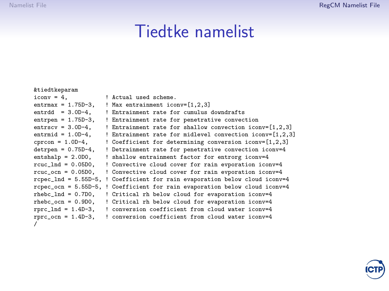#### Tiedtke namelist

&tiedtkeparam  $i$ conv = 4,  $\qquad$  ! Actual used scheme.<br>entrmax = 1.75D-3. ! Max entrainment ico entrmax =  $1.75D-3$ ,  $\qquad$ ! Max entrainment iconv= $[1,2,3]$ <br>entrdd =  $3.0D-4$ .  $\qquad$ ! Entrainment rate for cumulus entrdd = 3.0D-4, ! Entrainment rate for cumulus downdrafts<br>entrpen = 1.75D-3, ! Entrainment rate for penetrative convec entrpen = 1.75D-3, ! Entrainment rate for penetrative convection<br>entrscy = 3.0D-4. ! Entrainment rate for shallow convection ico entrscv =  $3.0D-4$ , ! Entrainment rate for shallow convection iconv= $[1,2,3]$ <br>entrmid =  $1.0D-4$ . ! Entrainment rate for midlevel convection iconv= $[1,2,3]$ entrmid = 1.0D-4, <br>  $\therefore$  Percon = 1.0D-4, <br>  $\therefore$  Coefficient for determining conversion iconv=[1,2,3] cprcon =  $1.0D-4$ , <br>detroen = 0.75D-4. ! Detrainment rate for penetrative convection iconv=4 detrpen = 0.75D-4, ! Detrainment rate for penetrative convection iconv=4<br>entshalp = 2.0D0, ! shallow entrainment factor for entrorg iconv=4 ! shallow entrainment factor for entrorg iconv=4 rcuc\_lnd = 0.05D0, ! Convective cloud cover for rain evporation iconv=4<br>rcuc ocn = 0.05D0, ! Convective cloud cover for rain evporation iconv=4 ! Convective cloud cover for rain evporation iconv=4 rcpec\_lnd = 5.55D-5, ! Coefficient for rain evaporation below cloud iconv=4 rcpec\_ocn = 5.55D-5, ! Coefficient for rain evaporation below cloud iconv=4 rhebc\_lnd = 0.7D0, ! Critical rh below cloud for evaporation iconv=4<br>rhebc ocn = 0.9D0, ! Critical rh below cloud for evaporation iconv=4 rhebc\_ocn = 0.9D0, ! Critical rh below cloud for evaporation iconv=4<br>rprc\_lnd = 1.4D-3, ! conversion coefficient from cloud water iconv=4 ! conversion coefficient from cloud water iconv=4 rprc\_ocn = 1.4D-3, ! conversion coefficient from cloud water iconv=4 /

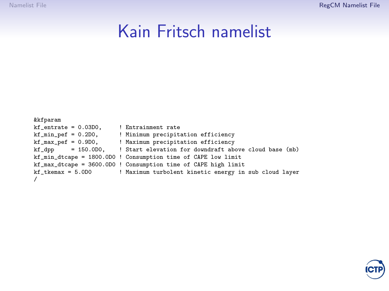#### Kain Fritsch namelist

```
&kfparam
kf_{\text{entrate}} = 0.03D0, ! Entrainment rate<br>
kf_{\text{min\_per}} = 0.2D0, ! Minimum precipit.
kf_min_pef = 0.2D0, <br>kf_max_pef = 0.9D0, <br>Maximum precipitation efficiency
kf_max_pef = 0.9D0, ! Maximum precipitation efficiency
                             ! Start elevation for downdraft above cloud base (mb)
kf_min_dtcape = 1800.0D0 ! Consumption time of CAPE low limit
kf_max_dtcape = 3600.0D0 ! Consumption time of CAPE high limit
                              ! Maximum turbolent kinetic energy in sub cloud layer
/
```
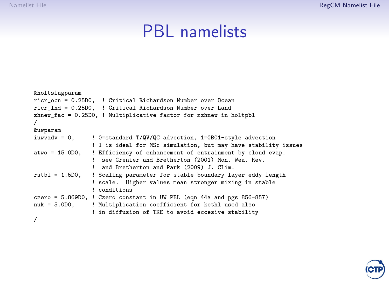#### PBL namelists

```
&holtslagparam
ricr_ocn = 0.25D0, ! Critical Richardson Number over Ocean
ricr_lnd = 0.25D0, ! Critical Richardson Number over Land
zhnew_fac = 0.25D0, ! Multiplicative factor for zzhnew in holtpbl
/
&uwparam<br>iuwyady = 0.
                 ! 0=standard T/QV/QC advection, 1=GB01-style advection
                 ! 1 is ideal for MSc simulation, but may have stability issues
atwo = 15.0D0, ! Efficiency of enhancement of entrainment by cloud evap.
                    see Grenier and Bretherton (2001) Mon. Wea. Rev.
                 ! and Bretherton and Park (2009) J. Clim.
rstbl = 1.5D0, ! Scaling parameter for stable boundary layer eddy length
                 ! scale. Higher values mean stronger mixing in stable
                 ! conditions
czero = 5.869D0, \frac{1}{2} Czero constant in UW PBL (eqn 44a and pgs 856-857)
nuk = 5.0D0, ! Multiplication coefficient for kethl used also
                 ! in diffusion of TKE to avoid eccesive stability
/
```
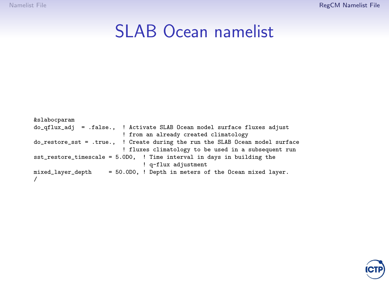## SLAB Ocean namelist

&slabocparam do\_qflux\_adj = .false., ! Activate SLAB Ocean model surface fluxes adjust ! from an already created climatology do\_restore\_sst = .true., ! Create during the run the SLAB Ocean model surface ! fluxes climatology to be used in a subsequent run sst\_restore\_timescale = 5.0D0, ! Time interval in days in building the ! q-flux adjustment mixed\_layer\_depth = 50.0D0, ! Depth in meters of the Ocean mixed layer. /

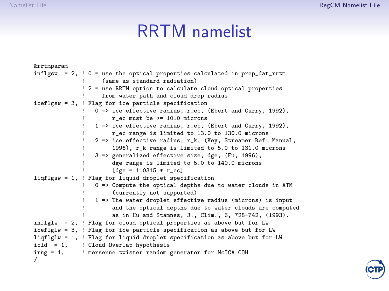#### RRTM namelist

```
&rrtmparam
inflgsw = 2, \frac{1}{2} 0 = use the optical properties calculated in prep dat rrtm
                     (same as standard radiation)
               ! 2 = use RRTM option to calculate cloud optical properties
                     from water path and cloud drop radius
iceflgsw = 3, ! Flag for ice particle specification
                   0 \Rightarrow ice effective radius, r_ec, (Ebert and Curry, 1992),
                        r ec must be > = 10.0 microns
                   ! 1 => ice effective radius, r_ec, (Ebert and Curry, 1992),
                        r_ec range is limited to 13.0 to 130.0 microns
                   2 \Rightarrow ice effective radius, r_k, (Key, Streamer Ref. Manual,
                        1996), r k range is limited to 5.0 to 131.0 microns
                   3 \equiv generalized effective size, dge, (Fu, 1996),
                        dge range is limited to 5.0 to 140.0 microns
                        [Here = 1.0315 * r ecl]liqflgsw = 1, ! Flag for liquid droplet specification
                  0 => Compute the optical depths due to water clouds in ATM
                        (currently not supported)
                   ! 1 => The water droplet effective radius (microns) is input
                        and the optical depths due to water clouds are computed
                        as in Hu and Stamnes, J., Clim., 6, 728-742, (1993).
inflglw = 2, ! Flag for cloud optical properties as above but for LW
iceflglw = 3, ! Flag for ice particle specification as above but for LW
liqflglw = 1, ! Flag for liquid droplet specification as above but for LW
icld = 1, ! Cloud Overlap hypothesis<br>irng = 1, ! mersenne twister random
             ! mersenne twister random generator for McICA COH
/
```
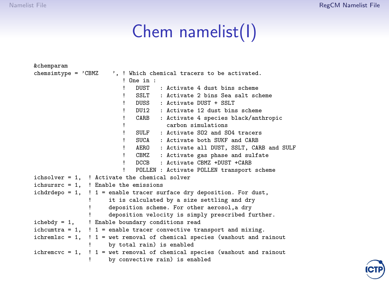# Chem namelist(I)

| <i>&amp;</i> chemparam |                                                                                |
|------------------------|--------------------------------------------------------------------------------|
| $chemistrype = 'CBMZ$  | ', ! Which chemical tracers to be activated.                                   |
|                        | One in:                                                                        |
|                        | DUST : Activate 4 dust bins scheme<br>1                                        |
|                        | SSLT : Activate 2 bins Sea salt scheme<br>1                                    |
|                        | DUSS : Activate DUST + SSLT<br>1                                               |
|                        | DU12 : Activate 12 dust bins scheme<br>Ţ                                       |
|                        | CARB<br>: Activate 4 species black/anthropic<br>Ţ                              |
|                        | carbon simulations<br>Ţ                                                        |
|                        | SULF : Activate S02 and S04 tracers<br>1                                       |
|                        | SUCA : Activate both SUKF and CARB<br>Ţ                                        |
|                        | AERO : Activate all DUST, SSLT, CARB and SULF<br>Ţ                             |
|                        | CBMZ : Activate gas phase and sulfate<br>Ţ.                                    |
|                        | DCCB : Activate CBMZ +DUST +CARB<br>Ţ                                          |
|                        | 1<br>POLLEN : Activate POLLEN transport scheme                                 |
|                        | ichsolver = 1, ! Activate the chemical solver                                  |
|                        | ichsursrc = $1$ , ! Enable the emissions                                       |
|                        | ichdrdepo = $1$ , ! 1 = enable tracer surface dry deposition. For dust,        |
|                        | it is calculated by a size settling and dry                                    |
|                        | deposition scheme. For other aerosol, a dry                                    |
|                        | deposition velocity is simply prescribed further.                              |
|                        | ichebdy = 1,   Enable boundary conditions read                                 |
|                        | ichcumtra = $1$ , ! $1$ = enable tracer convective transport and mixing.       |
|                        | ichremlsc = $1$ , ! 1 = wet removal of chemical species (washout and rainout   |
|                        | by total rain) is enabled                                                      |
|                        | ichremcvc = $1$ , ! $1$ = wet removal of chemical species (washout and rainout |
|                        | by convective rain) is enabled                                                 |

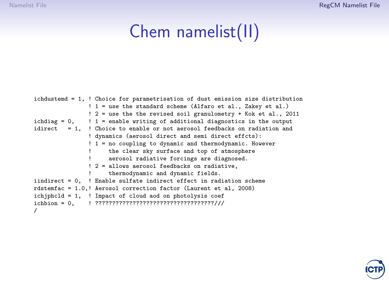# Chem namelist(II)

| ichdustemd = 1, ! Choice for parametrisation of dust emission size distribution |
|---------------------------------------------------------------------------------|
| ! 1 = use the standard scheme (Alfaro et al., Zakey et al.)                     |
| ! 2 = use the the revised soil granulometry + Kok et al., 2011                  |
| ichdiag = $0$ , ! 1 = enable writing of additional diagnostics in the output    |
| idirect $= 1$ . ! Choice to enable or not aerosol feedbacks on radiation and    |
| ! dynamics (aerosol direct and semi direct effcts):                             |
| ! 1 = no coupling to dynamic and thermodynamic. However                         |
| the clear sky surface and top of atmosphere                                     |
| aerosol radiative forcings are diagnosed.                                       |
| ! 2 = allows aerosol feedbacks on radiative,                                    |
| thermodynamic and dynamic fields.                                               |
| iindirect = $0$ , ! Enable sulfate indirect effect in radiation scheme          |
| rdstemfac = 1.0,! Aerosol correction factor (Laurent et al, 2008)               |
| ichiphcld = $1$ , ! Impact of cloud aod on photolysis coef                      |
|                                                                                 |
|                                                                                 |

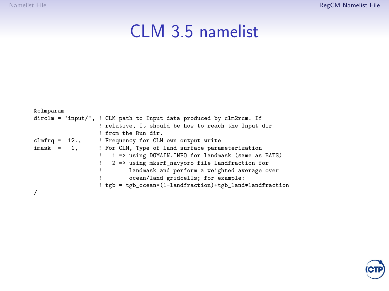# CLM 3.5 namelist

| &clmparam     |                                                                                                  |
|---------------|--------------------------------------------------------------------------------------------------|
|               | $\text{dirclm} = \text{'input}\text{/}, \text{! CLM path to Input data produced by clm2rcm. If}$ |
|               | ! relative, It should be how to reach the Input dir                                              |
|               | ! from the Run dir.                                                                              |
|               | $clmfrq = 12.$ , $\qquad$ Frequency for CLM own output write                                     |
| $i$ mask = 1, | ! For CLM, Type of land surface parameterization                                                 |
|               | 1 => using DOMAIN. INFO for landmask (same as BATS)<br>Ţ.                                        |
|               | 2 => using mksrf_navyoro file landfraction for<br>Ţ.                                             |
|               | landmask and perform a weighted average over                                                     |
|               | ocean/land gridcells; for example:                                                               |
|               | ! tgb = tgb_ocean*(1-landfraction)+tgb_land*landfraction                                         |
|               |                                                                                                  |
|               |                                                                                                  |

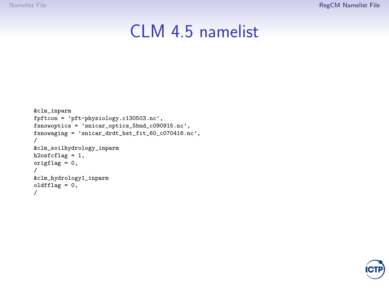## CLM 4.5 namelist

```
&clm_inparm
fpftcon = 'pft-physiology.c130503.nc',
fsnowoptics = 'snicar_optics_5bnd_c090915.nc',
fsnowaging = 'snicar_drdt_bst_fit_60_c070416.nc',
/
&clm_soilhydrology_inparm
h2osfcflag = 1,
origflag = 0,
/
&clm_hydrology1_inparm
oldfflag = 0,
/
```